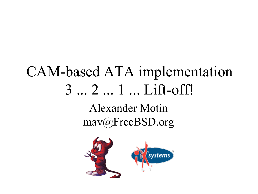## CAM-based ATA implementation 3 ... 2 ... 1 ... Lift-off! Alexander Motin mav@FreeBSD.org

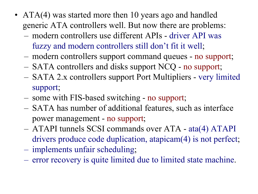- ATA(4) was started more then 10 years ago and handled generic ATA controllers well. But now there are problems:
	- modern controllers use different APIs driver API was fuzzy and modern controllers still don't fit it well;
	- modern controllers support command queues no support;
	- SATA controllers and disks support NCQ no support;
	- SATA 2.x controllers support Port Multipliers very limited support;
	- some with FIS-based switching no support;
	- SATA has number of additional features, such as interface power management - no support;
	- ATAPI tunnels SCSI commands over ATA ata(4) ATAPI drivers produce code duplication, atapicam(4) is not perfect;
	- implements unfair scheduling;
	- error recovery is quite limited due to limited state machine.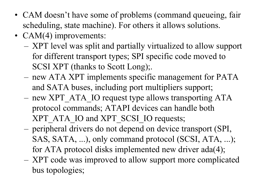- CAM doesn't have some of problems (command queueing, fair scheduling, state machine). For others it allows solutions.
- CAM(4) improvements:
	- XPT level was split and partially virtualized to allow support for different transport types; SPI specific code moved to SCSI XPT (thanks to Scott Long);.
	- new ATA XPT implements specific management for PATA and SATA buses, including port multipliers support;
	- new XPT\_ATA\_IO request type allows transporting ATA protocol commands; ATAPI devices can handle both XPT\_ATA\_IO and XPT\_SCSI\_IO requests;
	- peripheral drivers do not depend on device transport (SPI, SAS, SATA, ...), only command protocol (SCSI, ATA, ...); for ATA protocol disks implemented new driver ada(4);
	- XPT code was improved to allow support more complicated bus topologies;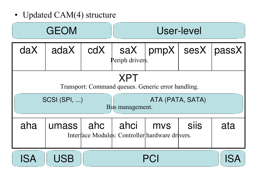• Updated CAM(4) structure

| <b>GEOM</b>                                                                                                             |            |     | User-level               |                                                               |             |                     |  |
|-------------------------------------------------------------------------------------------------------------------------|------------|-----|--------------------------|---------------------------------------------------------------|-------------|---------------------|--|
| daX                                                                                                                     | adaX       | cdX | saX  <br>Periph drivers. |                                                               |             | pmpX   sesX   passX |  |
| <b>XPT</b><br>Transport: Command queues. Generic error handling.<br>SCSI (SPI, )<br>ATA (PATA, SATA)<br>Bus management. |            |     |                          |                                                               |             |                     |  |
| aha                                                                                                                     | umass      | ahc | ahci                     | <b>MVS</b><br>Interface Modules: Controller hardware drivers. | <b>SilS</b> | ata                 |  |
| <b>ISA</b>                                                                                                              | <b>USB</b> | PCI |                          |                                                               |             |                     |  |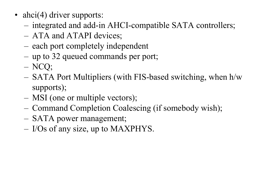- ahci(4) driver supports:
	- integrated and add-in AHCI-compatible SATA controllers;
	- ATA and ATAPI devices;
	- each port completely independent
	- up to 32 queued commands per port;
	- NCQ;
	- SATA Port Multipliers (with FIS-based switching, when h/w supports);
	- MSI (one or multiple vectors);
	- Command Completion Coalescing (if somebody wish);
	- SATA power management;
	- I/Os of any size, up to MAXPHYS.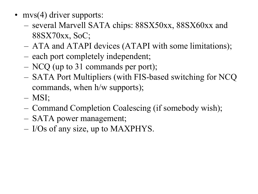- mvs(4) driver supports:
	- several Marvell SATA chips: 88SX50xx, 88SX60xx and 88SX70xx, SoC;
	- ATA and ATAPI devices (ATAPI with some limitations);
	- each port completely independent;
	- NCQ (up to 31 commands per port);
	- SATA Port Multipliers (with FIS-based switching for NCQ commands, when h/w supports);
	- MSI;
	- Command Completion Coalescing (if somebody wish);
	- SATA power management;
	- I/Os of any size, up to MAXPHYS.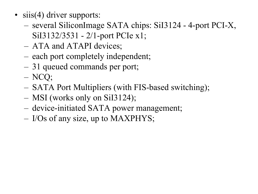- siis(4) driver supports:
	- several SiliconImage SATA chips: SiI3124 4-port PCI-X, SiI3132/3531 - 2/1-port PCIe x1;
	- ATA and ATAPI devices;
	- each port completely independent;
	- 31 queued commands per port;
	- NCQ;
	- SATA Port Multipliers (with FIS-based switching);
	- MSI (works only on SiI3124);
	- device-initiated SATA power management;
	- I/Os of any size, up to MAXPHYS;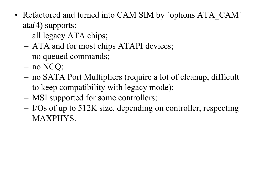- Refactored and turned into CAM SIM by `options ATA\_CAM` ata(4) supports:
	- all legacy ATA chips;
	- ATA and for most chips ATAPI devices;
	- no queued commands;
	- no NCQ;
	- no SATA Port Multipliers (require a lot of cleanup, difficult to keep compatibility with legacy mode);
	- MSI supported for some controllers;
	- I/Os of up to 512K size, depending on controller, respecting MAXPHYS.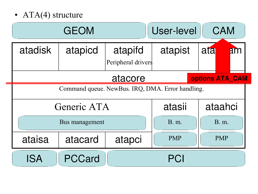• ATA(4) structure

| <b>GEOM</b>                                      |         |                               | <b>User-level</b> | <b>CAM</b>       |  |  |
|--------------------------------------------------|---------|-------------------------------|-------------------|------------------|--|--|
| <b>atadisk</b>                                   | atapicd | atapifd<br>Peripheral drivers | atapist           | ata<br><b>Am</b> |  |  |
| options ATA CAM<br>atacore                       |         |                               |                   |                  |  |  |
| Command queue. NewBus. IRQ, DMA. Error handling. |         |                               |                   |                  |  |  |
| Generic ATA                                      |         |                               | atasii            | ataahci          |  |  |
| Bus management                                   |         |                               | <b>B.</b> m.      | <b>B.</b> m.     |  |  |
| ataisa                                           | atacard | atapci                        | <b>PMP</b>        | <b>PMP</b>       |  |  |
| <b>ISA</b>                                       | PCCard  |                               | PCI               |                  |  |  |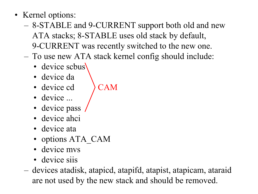- Kernel options:
	- 8-STABLE and 9-CURRENT support both old and new ATA stacks; 8-STABLE uses old stack by default, 9-CURRENT was recently switched to the new one.
	- To use new ATA stack kernel config should include:
		- device scbus
		- device da
		- device cd  $\rightarrow$  CAM
		- device ...
		- device pass
		- device ahci
		- device ata
		- options ATA\_CAM
		- device mys
		- device siis
	- devices atadisk, atapicd, atapifd, atapist, atapicam, ataraid are not used by the new stack and should be removed.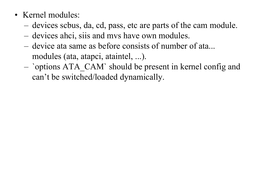- Kernel modules:
	- devices scbus, da, cd, pass, etc are parts of the cam module.
	- devices ahci, siis and mvs have own modules.
	- device ata same as before consists of number of ata... modules (ata, atapci, ataintel, ...).
	- `options ATA\_CAM` should be present in kernel config and can't be switched/loaded dynamically.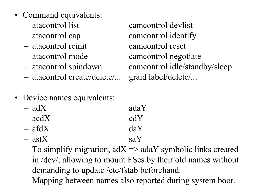- Command equivalents:
	-
	-
	- atacontrol reinit camcontrol reset
	-
	-
	- atacontrol create/delete/... graid label/delete/...

– atacontrol list camcontrol devlist – atacontrol cap camcontrol identify – atacontrol mode camcontrol negotiate – atacontrol spindown camcontrol idle/standby/sleep

- Device names equivalents:
	- $-$  adX adaY
	- $-$  acdX cdY
	- $-$  afdX daY
	- $-$  astX saY
	- To simplify migration,  $adX \Rightarrow adaY$  symbolic links created in /dev/, allowing to mount FSes by their old names without demanding to update /etc/fstab beforehand.
	- Mapping between names also reported during system boot.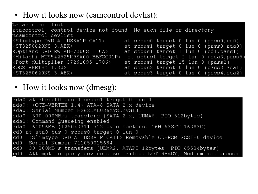• How it looks now (camcontrol devlist):

| %atacontrol list                                                                                                                                            |                                                                                           |
|-------------------------------------------------------------------------------------------------------------------------------------------------------------|-------------------------------------------------------------------------------------------|
| atacontrol: control device not found: No such file or directory                                                                                             |                                                                                           |
| %camcontrol devlist                                                                                                                                         |                                                                                           |
| <slimtype a="" ca11="" ds8a1p="" dvd=""></slimtype>                                                                                                         | at scbus0 target 0 lun 0 (pass0,cd0)                                                      |
| $\langle ST3250620NS \; 3. AEK \rangle$                                                                                                                     | at scbus1 target 0 lun 0 (pass0, ada0)                                                    |
| <optiarc 1.0a="" ad-7200s="" dvd="" rw=""></optiarc>                                                                                                        | at scbus1 target 1 lun 0 (cd1, pass1)                                                     |
|                                                                                                                                                             | <hitachi bbfoc31p="" hts542525k9sa00=""> at scbus1 target 2 lun 0 (ada3, pass5)</hitachi> |
| <port 1706="" 37261095="" multiplier=""></port>                                                                                                             | at scbus1 target 15 lun 0 (pass2)                                                         |
| $\langle OCZ-VERTEX \ 1.30 \rangle$<br><u> 1989 - Jan Stein Stein Stein Stein Stein Stein Stein Stein Stein Stein Stein Stein Stein Stein Stein Stein S</u> | at scbus2 target 0 lun 0 (pass3, ada1)                                                    |
| <st3250620ns 3.aek=""></st3250620ns>                                                                                                                        | at scbus3 target 0 lun 0 (pass4, ada2)                                                    |
|                                                                                                                                                             |                                                                                           |

## • How it looks now (dmesg):

ada0 at ahcich0 bus 0 scbus1 target 0 lun 0  $ada0: COCZ-VERTEX$  1.4>  $ATA = 8$  SATA 2. $x$  device ada0: Serial Number H262LML036XYSDZVG1JI ada0: 300.000MB/s transfers (SATA 2.x, UDMA6, PIO 512bytes) ada0: Command Queueing enabled ada0: 61056MB (125043311 512 byte sectors: 16H 63S/T 16383C) cd0 at ata0 bus 0 scbus0 target 0 lun 0 cd0: <Slimtype DVD A DS8A1P CA11> Removable CD-ROM SCSI-0 device cd0: Serial Number 711050015684 cd0: 33.300MB/s transfers (UDMA2, ATAPI 12bytes, PIO 65534bytes) cd0: Attempt to query device size failed: NOT READY, Medium not present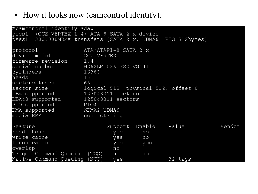• How it looks now (camcontrol identify):

| %camcontrol identify ada0                                                                                                                                                                                                  |                                                                                                                                                      |                |                                     |       |
|----------------------------------------------------------------------------------------------------------------------------------------------------------------------------------------------------------------------------|------------------------------------------------------------------------------------------------------------------------------------------------------|----------------|-------------------------------------|-------|
| pass1: < OCZ-VERTEX 1.4> ATA-8 SATA 2.x device                                                                                                                                                                             |                                                                                                                                                      |                |                                     |       |
| pass1: 300.000MB/s transfers (SATA 2.x, UDMA6, PIO 512bytes)                                                                                                                                                               |                                                                                                                                                      |                |                                     |       |
| protocol<br>device model<br>firmware revision<br>1.4<br>serial number<br>cylinders<br>heads<br>16<br>sectors/track<br>63<br>sector size<br>LBA supported<br>LBA48 supported<br>PIO supported<br>DMA supported<br>media RPM | ATA/ATAPI-8 SATA 2.X<br>OCZ-VERTEX<br>H262LML036XYSDZVG1JI<br>16383<br>125043311 sectors<br>125043311 sectors<br>PIO4<br>WDMA2 UDMA6<br>non-rotating |                | logical 512, physical 512, offset 0 |       |
| Feature                                                                                                                                                                                                                    |                                                                                                                                                      | Support Enable | Value                               | Vendo |
| read ahead                                                                                                                                                                                                                 | yes                                                                                                                                                  | no             |                                     |       |
| write cache                                                                                                                                                                                                                | yes                                                                                                                                                  | no             |                                     |       |
| flush cache                                                                                                                                                                                                                |                                                                                                                                                      |                |                                     |       |
|                                                                                                                                                                                                                            | yes                                                                                                                                                  | yes            |                                     |       |
| overlap                                                                                                                                                                                                                    | no                                                                                                                                                   |                |                                     |       |
| Tagged Command Queuing (TCQ)                                                                                                                                                                                               | no                                                                                                                                                   | n <sub>O</sub> |                                     |       |
| Native Command Queuing (NCQ)                                                                                                                                                                                               | yes                                                                                                                                                  |                | 32 tags                             |       |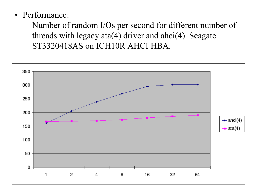- Performance:
	- Number of random I/Os per second for different number of threads with legacy ata(4) driver and ahci(4). Seagate ST3320418AS on ICH10R AHCI HBA.

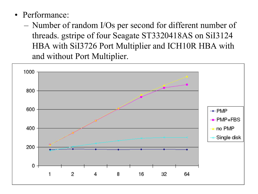- Performance:
	- Number of random I/Os per second for different number of threads. gstripe of four Seagate ST3320418AS on SiI3124 HBA with SiI3726 Port Multiplier and ICH10R HBA with and without Port Multiplier.

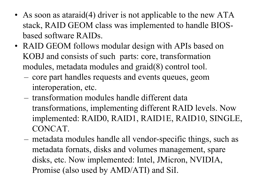- As soon as ataraid(4) driver is not applicable to the new ATA stack, RAID GEOM class was implemented to handle BIOSbased software RAIDs.
- RAID GEOM follows modular design with APIs based on KOBJ and consists of such parts: core, transformation modules, metadata modules and graid(8) control tool.
	- core part handles requests and events queues, geom interoperation, etc.
	- transformation modules handle different data transformations, implementing different RAID levels. Now implemented: RAID0, RAID1, RAID1E, RAID10, SINGLE, CONCAT.
	- metadata modules handle all vendor-specific things, such as metadata fornats, disks and volumes management, spare disks, etc. Now implemented: Intel, JMicron, NVIDIA, Promise (also used by AMD/ATI) and SiI.